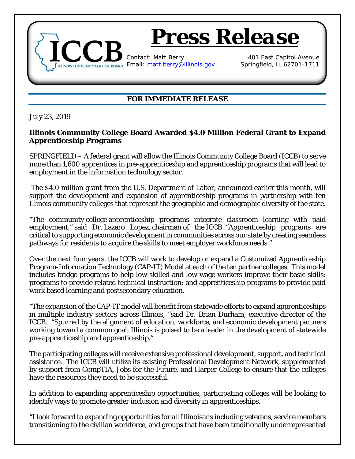

## **FOR IMMEDIATE RELEASE**

July 23, 2019

## **Illinois Community College Board Awarded \$4.0 Million Federal Grant to Expand Apprenticeship Programs**

SPRINGFIELD – A federal grant will allow the Illinois Community College Board (ICCB) to serve more than 1,600 apprentices in pre-apprenticeship and apprenticeship programs that will lead to employment in the information technology sector.

The \$4.0 million grant from the U.S. Department of Labor, announced earlier this month, will support the development and expansion of apprenticeship programs in partnership with ten Illinois community colleges that represent the geographic and demographic diversity of the state.

"The community college apprenticeship programs integrate classroom learning with paid employment," said Dr. Lazaro Lopez, chairman of the ICCB. "Apprenticeship programs are critical to supporting economic development in communities across our state by creating seamless pathways for residents to acquire the skills to meet employer workforce needs."

Over the next four years, the ICCB will work to develop or expand a Customized Apprenticeship Program-Information Technology (CAP-IT) Model at each of the ten partner colleges. This model includes bridge programs to help low-skilled and low-wage workers improve their basic skills; programs to provide related technical instruction; and apprenticeship programs to provide paid work based learning and postsecondary education.

"The expansion of the CAP-IT model will benefit from statewide efforts to expand apprenticeships in multiple industry sectors across Illinois, "said Dr. Brian Durham, executive director of the ICCB. "Spurred by the alignment of education, workforce, and economic development partners working toward a common goal, Illinois is poised to be a leader in the development of statewide pre-apprenticeship and apprenticeship."

The participating colleges will receive extensive professional development, support, and technical assistance. The ICCB will utilize its existing Professional Development Network, supplemented by support from CompTIA, Jobs for the Future, and Harper College to ensure that the colleges have the resources they need to be successful.

In addition to expanding apprenticeship opportunities, participating colleges will be looking to identify ways to promote greater inclusion and diversity in apprenticeships.

"I look forward to expanding opportunities for all Illinoisans including veterans, service members transitioning to the civilian workforce, and groups that have been traditionally underrepresented